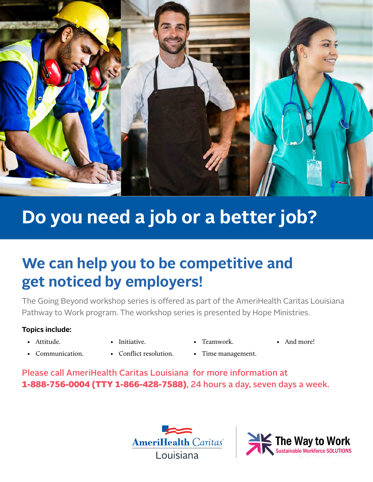

## **Do you need a job or a better job?**

## We can help you to be competitive and **get noticed by employers!**

The Going Beyond workshop series is offered as part of the AmeriHealth Caritas Louisiana Pathway to Work program. The workshop series is presented by Hope Ministries. We help YOU to be

## **Topics include:**

• Attitude.

- Initiative.
- Teamwork.
- And more!  $\cdot$  and more.
- Communication.
- Conflict resolution.
- Time management.

Please call AmeriHealth Caritas Louisiana for more information at **1-888-756-0004 (TTY 1-866-428-7588)**, 24 hours a day, seven days a week. **Going Beyond Workshop Series**  iac such as  $\mathbf{u}$